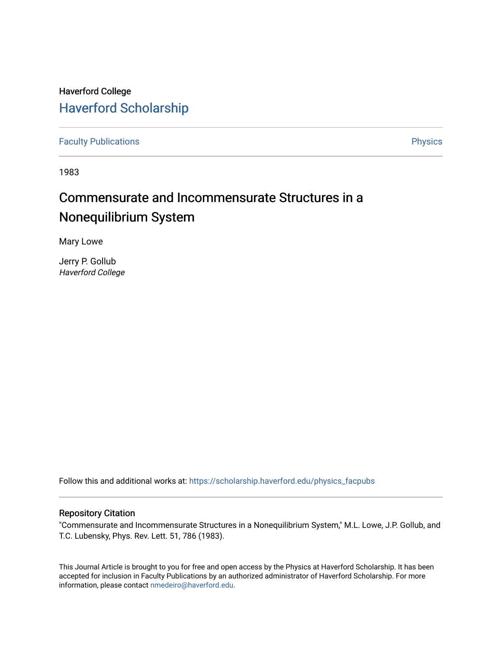## Haverford College [Haverford Scholarship](https://scholarship.haverford.edu/)

[Faculty Publications](https://scholarship.haverford.edu/physics_facpubs) **Physics** 

1983

# Commensurate and Incommensurate Structures in a Nonequilibrium System

Mary Lowe

Jerry P. Gollub Haverford College

Follow this and additional works at: [https://scholarship.haverford.edu/physics\\_facpubs](https://scholarship.haverford.edu/physics_facpubs?utm_source=scholarship.haverford.edu%2Fphysics_facpubs%2F257&utm_medium=PDF&utm_campaign=PDFCoverPages) 

### Repository Citation

"Commensurate and Incommensurate Structures in a Nonequilibrium System," M.L. Lowe, J.P. Gollub, and T.C. Lubensky, Phys. Rev. Lett. 51, 786 (1983).

This Journal Article is brought to you for free and open access by the Physics at Haverford Scholarship. It has been accepted for inclusion in Faculty Publications by an authorized administrator of Haverford Scholarship. For more information, please contact [nmedeiro@haverford.edu.](mailto:nmedeiro@haverford.edu)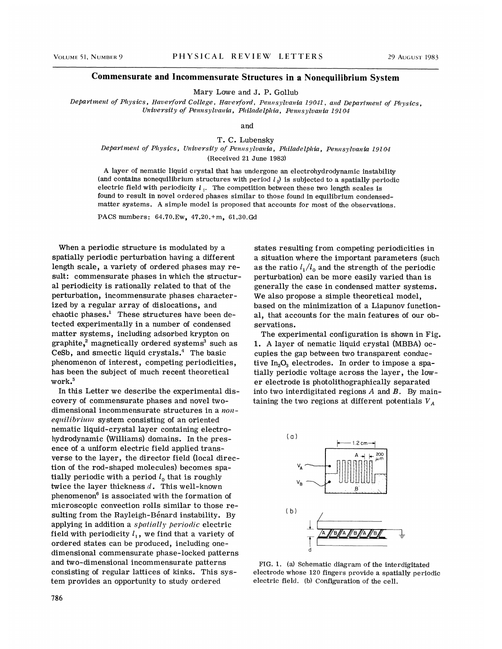#### Commensurate and Incommensurate Structures in a Nonequilibrium System

Mary Lowe and J. P. Gollub

Department of Physics, Haverford College, Haverford, Pennsylvania 19041, and Department of Physics, University of Pennsylvania, Philadelphia, Pennsylvania 19104

and

T. C. Lubensky

#### Department of Physics, University of Pennsylvania, Philadelphia, Pennsylvania 19104 (Received 21 June 1983)

<sup>A</sup> layer of nematic liquid crystal that has undergone an electrohydrodynamic instability (and contains nonequilibrium structures with period  $l_0$ ) is subjected to a spatially periodic electric field with periodicity  $l_i$ . The competition between these two length scales is found to result in novel ordered phases similar to those found in equilibrium condensedmatter systems. <sup>A</sup> simple model is proposed that accounts for most of the observations.

PACS numbers: 64.70.Ew, 47.20.+m, 61.30.Gd

When a periodic structure is modulated by a spatially periodic perturbation having a different length scale, a variety of ordered phases may result: commensurate phases in which the structural periodicity is rationally related to that of the perturbation, incommensurate phases characterized by a regular array of dislocations, and chaotic phases.<sup>1</sup> These structures have been detected experimentally in a number of condensed matter systems, including adsorbed krypton on  $graphite, <sup>2</sup> magnetically ordered systems<sup>3</sup> such as$ CeSb, and smectic liquid crystals.<sup>4</sup> The basic phenomenon of interest, competing periodicities, has been the subject of much recent theoretical work.<sup>5</sup>

In this Letter we describe the experimental discovery of commensurate phases and novel twodimensional incommensurate structures in a non $equilibrium$  system consisting of an oriented nematic liquid-crystal layer containing electrohydrodynamic (Williams) domains. In the presence of a uniform electric field applied transverse to the layer, the director field (local direction of the rod-shaped molecules) becomes spatially periodic with a period  $l_0$  that is roughly twice the layer thickness  $d$ . This well-known phenomenon $<sup>6</sup>$  is associated with the formation of</sup> microscopic convection rolls similar to those resulting from the Rayleigh-Benard instability. By applying in addition a spatially periodic electric field with periodicity  $l_1$ , we find that a variety of ordered states can be produced, including onedimensional commensurate phase-locked patterns and two-dimensional incommensurate patterns consisting of regular lattices of kinks. This system provides an opportunity to study ordered

states resulting from competing periodicities in a situation where the important parameters (such as the ratio  $l_1/l_0$  and the strength of the periodic perturbation) can be more easily varied than is generally the case in condensed matter systems. We also propose a simple theoretical model, based on the minimization of a Liapunov functional, that accounts for the main features of our observations.

The experimental configuration is shown in Fig. l. <sup>A</sup> layer of nematic liquid crystal (MBBA) occupies the gap between two transparent conductive  $In_2O_3$  electrodes. In order to impose a spatially periodic voltage across the layer, the lower electrode is photolithographically separated into two interdigitated regions  $A$  and  $B$ . By maintaining the two regions at different potentials  $V_A$ 



FIG. l. (a) Schematic diagram of the interdigitated electrode whose 120 fingers provide a spatially periodic electric field. (b) Configuration of the cell.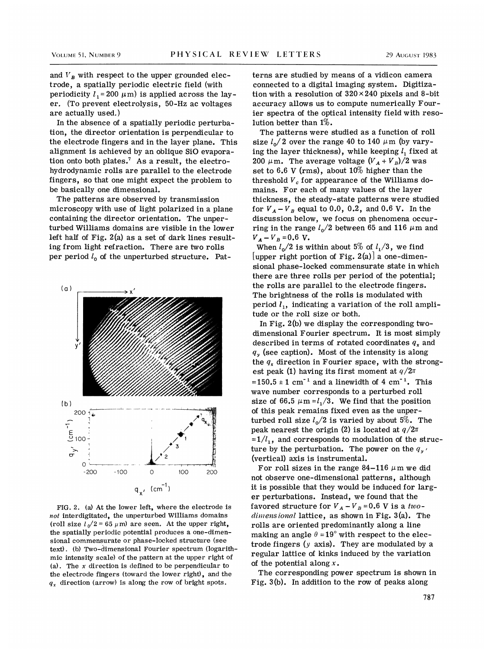and  $V_{R}$  with respect to the upper grounded electrode, a spatially periodic electric field (with periodicity  $l_1 = 200 \mu m$ ) is applied across the layer. (To prevent electrolysis, 50-Hz ac voltages are actually used. )

In the absence of a spatially periodic perturbation, the director orientation is perpendicular to the electrode fingers and in the layer plane. This alignment is achieved by an oblique SiO evaporation onto both plates.<sup>7</sup> As a result, the electrohydrodynamic rolls are parallel to the electrode fingers, so that one might expect the problem to be basically one dimensional.

The patterns are observed by transmission microscopy with use of light polarized in a plane containing the director orientation. The unperturbed Williams domains are visible in the lower left half of Fig. 2(a) as a set of dark lines resulting from light refraction. There are two rolls per period  $l_0$  of the unperturbed structure. Pat-



FIG. 2. (a) At the lower left, where the electrode is  $not$  interdigitated, the unperturbed Williams domains (roll size  $l_0/2 = 65 \mu m$ ) are seen. At the upper right, the spatially periodic potential produces a one-dimensional commensurate or phase-locked structure (see text) . (b) Two-dimensional Fourier spectrum (logarithmic intensity scale) of the pattern at the upper right of (a). The  $x$  direction is defined to be perpendicular to the electrode fingers (toward the lower right), and the  $q_x$  direction (arrow) is along the row of bright spots.

terns are studied by means of a vidicon camera connected to a digital imaging system. Digitization with a resolution of  $320\times240$  pixels and 8-bit accuracy allows us to compute numerically Fourier spectra of the optical intensity field with resolution better than 1%.

The patterns were studied as a function of roll size  $l_0/2$  over the range 40 to 140  $\mu$ m (by varying the layer thickness), while keeping  $l_1$  fixed at 200  $\mu$ m. The average voltage  $(V_A + V_B)/2$  was set to 6.6 V (rms), about  $10\%$  higher than the threshold  $V_c$  for appearance of the Williams domains. For each of many values of the layer thickness, the steady-state patterns were studied for  $V_A - V_B$  equal to 0.0, 0.2, and 0.6 V. In the discussion below, we focus on phenomena occurring in the range  $l_0/2$  between 65 and 116  $\mu$ m and  $V_A - V_B = 0.6$  V.

When  $l_0/2$  is within about 5% of  $l_1/3$ , we find [upper right portion of Fig. 2(a)] a one-dimensional phase-locked commensurate state in which there are three rolls per period of the potential; the rolls are parallel to the electrode fingers. The brightness of the rolls is modulated with period  $l_1$ , indicating a variation of the roll amplitude or the roll size or both.

In Fig. 2(b) we display the corresponding twodimensional Fourier spectrum. It is most simply described in terms of rotated coordinates  $q_x$  and  $q<sub>y</sub>$  (see caption). Most of the intensity is along the  $q_x$  direction in Fourier space, with the strongest peak (1) having its first moment at  $q/2\pi$  $=150.5 \pm 1$  cm<sup>-1</sup> and a linewidth of 4 cm<sup>-1</sup>. This wave number corresponds to a perturbed roll size of 66.5  $\mu$ m =  $l_1/3$ . We find that the position of this peak remains fixed even as the unperturbed roll size  $l_0/2$  is varied by about 5%. The peak nearest the origin (2) is located at  $q/2\pi$  $=1/l_1$ , and corresponds to modulation of the structure by the perturbation. The power on the  $q_{v}$ . (vertical) axis is instrumental.

For roll sizes in the range 84-116  $\mu$ m we did not observe one-dimensional patterns, although it is possible that they would be induced for larger perturbations. Instead, we found that the favored structure for  $V_A - V_B = 0.6$  V is a two $dimensional$  lattice, as shown in Fig.  $3(a)$ . The rolls are oriented predominantly along a line making an angle  $\theta = 19^{\circ}$  with respect to the electrode fingers  $(y \text{ axis})$ . They are modulated by a regular lattice of kinks induced by the variation of the potential along  $x$ .

The corresponding power spectrum is shown in Fig. 3(b). In addition to the row of peaks along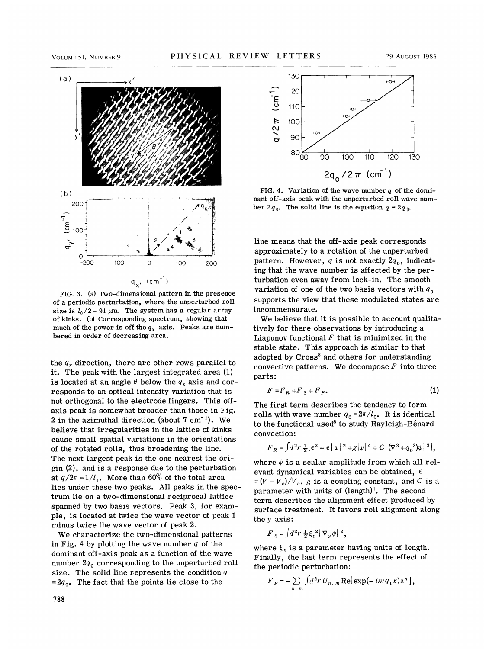

FIG. 3. (a) Two-dimensional pattern in the presence of a periodic perturbation, where the unperturbed roll size is  $l_0/2 = 91 \mu m$ . The system has a regular array of kinks. (b) Corresponding spectrum, showing that much of the power is off the  $q_x$  axis. Peaks are numbered in order of decreasing area.

the  $q<sub>r</sub>$  direction, there are other rows parallel to it. The peak with the largest integrated area (1) is located at an angle  $\theta$  below the  $q_x$  axis and corresponds to an optical intensity variation that is not orthogonal to the electrode fingers. This offaxis peak is somewhat broader than those in Fig. 2 in the azimuthal direction (about  $7 \text{ cm}^{-1}$ ). We believe that irregularities in the lattice of kinks cause small spatial variations in the orientations of the rotated rolls, thus broadening the line. The next largest peak is the one nearest the origin (2), and is a response due to the perturbation at  $q/2\pi = 1/l_1$ . More than 60% of the total area lies under these two peaks. All peaks in the spectrum lie on a two-dimensional reciprocal lattice spanned by two basis vectors. Peak 3, for example, is located at twice the wave vector of peak 1 minus twice the wave vector of peak 2.

We characterize the two-dimensional patterns in Fig. 4 by plotting the wave number  $q$  of the dominant off-axis peak as a function of the wave number  $2q_0$  corresponding to the unperturbed roll size. The solid line represents the condition  $q$  $=2q_0$ . The fact that the points lie close to the



FIG. 4. Variation of the wave number  $q$  of the dominant off-axis peak with the unperturbed roll wave number 2 $q_0$ . The solid line is the equation  $q = 2q_0$ .

line means that the off-axis peak corresponds approximately to a rotation of the unperturbed pattern. However, q is not exactly  $2q_0$ , indicating that the wave number is affected by the perturbation even away from lock-in. The smooth variation of one of the two basis vectors with  $q_0$ supports the view that these modulated states are incommensurate.

We believe that it is possible to account qualitatively for there observations by introducing a Liapunov functional  $F$  that is minimized in the stable state. This approach is similar to that adopted by Cross<sup>8</sup> and others for understanding convective patterns. We decompose  $F$  into three parts:

$$
F = F_R + F_S + F_P. \tag{1}
$$

The first term describes the tendency to form rolls with wave number  $q_0 = 2\pi/l_0$ . It is identical to the functional used<sup>8</sup> to study Rayleigh-Benard convection:

$$
F_R = \int d^2 r \, \frac{1}{2} [\epsilon^2 - \epsilon] \psi|^2 + g |\psi|^4 + C \left( \nabla^2 + q_0^2 \right) \psi|^2 \right],
$$

where  $\psi$  is a scalar amplitude from which all relevant dynamical variables can be obtained,  $\epsilon$  $=(V - V_c)/V_c$ , g is a coupling constant, and C is a parameter with units of  $(length)<sup>4</sup>$ . The second term describes the alignment effect produced by surface treatment. It favors roll alignment along they axis:

$$
F_{s} = \int d^{2}r \frac{1}{2} \xi_{v}^{2} |\nabla_{v} \psi|^{2},
$$

where  $\xi$ , is a parameter having units of length. Finally, the last term represents the effect of the periodic perturbation:

$$
F_P = -\sum_{n, m} \left[ d^2 r U_{n, m} \text{Re}[\exp(-im q_1 x) \psi^n] \right],
$$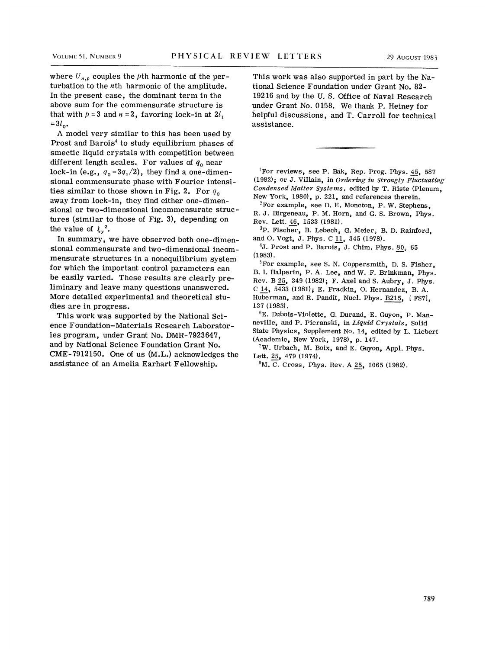where  $U_{n,p}$  couples the *p*th harmonic of the perturbation to the nth harmonic of the amplitude. In the present case, the dominant term in the above sum for the commensurate structure is that with  $p = 3$  and  $n = 2$ , favoring lock-in at  $2l_1$  $=3l_{0}$ .

A model very similar to this has been used by Prost and Barois<sup>4</sup> to study equilibrium phases of smectic liquid crystals with competition between different length scales. For values of  $q_0$  near lock-in (e.g.,  $q_0 = 3q_1/2$ ), they find a one-dimensional commensurate phase with Fourier intensities similar to those shown in Fig. 2. For  $q_0$ away from lock-in, they find either one-dimensional or two-dimensional incommensurate structures (similar to those of Fig. 3), depending on the value of  $\xi_y^2$ .

In summary, we have observed both one-dimensional commensurate and two-dimensional incommensurate structures in a nonequilibrium system for which the important control parameters can be easily varied. These results are clearly preliminary and leave many questions unanswered. More detailed experimental and theoretical studies are in progress.

This work was supported by the National Science Foundation-Materials Research Laboratories program, under Grant No. DMR-7923647, and by National Science Foundation Grant No. CME-7912150. One of us (M.L.) acknowledges the assistance of an Amelia Earhart Fellowship.

This work was also supported in part by the National Science Foundation under Grant No. 82- 19216 and by the U. S. Office of Naval Research under Grant No. 0158. We thank P. Heiney for helpful discussions, and T. Carroll for technical assistance.

'For reviews, see P. Bak, Rep. Prog. Phys. 45, 587 (1982); or J. Villain, in Ordering in Strongly Fluctuating Condensed Matter Systems, edited by T. Riste {Plenum, New York, 1980), p. 221, and references therein.

 ${}^{2}$ For example, see D. E. Moncton, P. W. Stephens, R. J. Birgeneau, P. M. Horn, and Q. S. Brown, Phys. Rev. Lett. 46, 1533 (1981).

<sup>3</sup>P. Fischer, B. Lebech, G. Meier, B. D. Rainford, and O. Vogt, J. Phys. C 11, 345 (1978).

4J. Prost and P. Barois, J. Chim. Phys. 80, <sup>65</sup> (1983).

 $5$ For example, see S. N. Coppersmith, D. S. Fisher, B.I. Halperin, P. A. Lee, and W. F. Brinkman, Phys. Rev. B 25, <sup>349</sup> (1982); F. Axel and S. Aubry, J. Phys. <sup>C</sup> 14, 5433 (1981); E. Fradkin, O. Hernandez, B. A. Huberman, and R. Pandit, Nucl. Phys. 8215, [ FS7), 137 (1983).

6E. Dubois-Violette, G. Durand, E. Guyon, P. Manneville, and P. Pieranski, in Liquid Crystals, Solid State Physics, Supplement No. 14, edited by L. Liebert (Academic, New York, 1978), p. 147.

<sup>7</sup>W. Urbach, M. Boix, and E. Guyon, Appl. Phys. Lett. 25, 479 (1974).

M. C. Cross, Phys. Rev. A 25, 1065 (1982).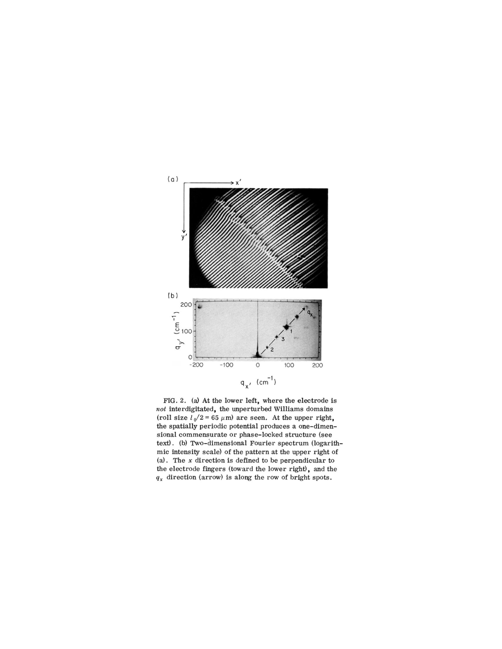

FIG. 2. (a) At the lower left, where the electrode is  $not$  interdigitated, the unperturbed Williams domains (roll size  $l_0/2$  = 65  $\mu$ m) are seen. At the upper right, the spatially periodic potential produces a one-dimensional commensurate or phase-locked structure (see text). (b) Two-dimensional Fourier spectrum (logarithmic intensity scale) of the pattern at the upper right of (a). The  $x$  direction is defined to be perpendicular to the electrode fingers (toward the lower right), and the  $q_x$  direction (arrow) is along the row of bright spots.